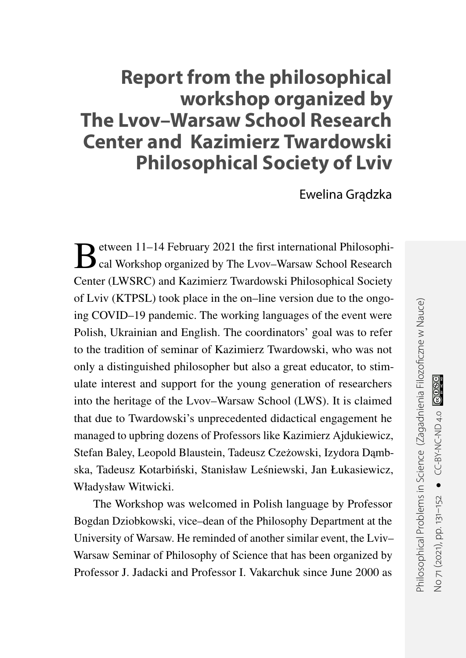## **Report from the philosophical workshop organized by The Lvov–Warsaw School Research Center and Kazimierz Twardowski Philosophical Society of Lviv**

Ewelina Gradzka

B etween 11–14 February 2021 the first international Philosophical Workshop organized by The Lvov–Warsaw School Research etween 11–14 February 2021 the first international Philosophi-Center (LWSRC) and Kazimierz Twardowski Philosophical Society of Lviv (KTPSL) took place in the on–line version due to the ongoing COVID–19 pandemic. The working languages of the event were Polish, Ukrainian and English. The coordinators' goal was to refer to the tradition of seminar of Kazimierz Twardowski, who was not only a distinguished philosopher but also a great educator, to stimulate interest and support for the young generation of researchers into the heritage of the Lvov–Warsaw School (LWS). It is claimed that due to Twardowski's unprecedented didactical engagement he managed to upbring dozens of Professors like Kazimierz Ajdukiewicz, Stefan Baley, Leopold Blaustein, Tadeusz Czeżowski, Izydora Dąmbska, Tadeusz Kotarbiński, Stanisław Leśniewski, Jan Łukasiewicz, Władysław Witwicki.

The Workshop was welcomed in Polish language by Professor Bogdan Dziobkowski, vice–dean of the Philosophy Department at the University of Warsaw. He reminded of another similar event, the Lviv– Warsaw Seminar of Philosophy of Science that has been organized by Professor J. Jadacki and Professor I. Vakarchuk since June 2000 as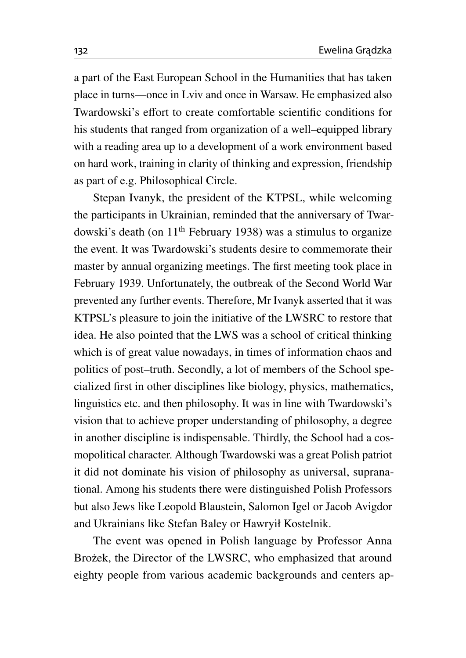a part of the East European School in the Humanities that has taken place in turns—once in Lviv and once in Warsaw. He emphasized also Twardowski's effort to create comfortable scientific conditions for his students that ranged from organization of a well–equipped library with a reading area up to a development of a work environment based on hard work, training in clarity of thinking and expression, friendship as part of e.g. Philosophical Circle.

Stepan Ivanyk, the president of the KTPSL, while welcoming the participants in Ukrainian, reminded that the anniversary of Twardowski's death (on  $11<sup>th</sup>$  February 1938) was a stimulus to organize the event. It was Twardowski's students desire to commemorate their master by annual organizing meetings. The first meeting took place in February 1939. Unfortunately, the outbreak of the Second World War prevented any further events. Therefore, Mr Ivanyk asserted that it was KTPSL's pleasure to join the initiative of the LWSRC to restore that idea. He also pointed that the LWS was a school of critical thinking which is of great value nowadays, in times of information chaos and politics of post–truth. Secondly, a lot of members of the School specialized first in other disciplines like biology, physics, mathematics, linguistics etc. and then philosophy. It was in line with Twardowski's vision that to achieve proper understanding of philosophy, a degree in another discipline is indispensable. Thirdly, the School had a cosmopolitical character. Although Twardowski was a great Polish patriot it did not dominate his vision of philosophy as universal, supranational. Among his students there were distinguished Polish Professors but also Jews like Leopold Blaustein, Salomon Igel or Jacob Avigdor and Ukrainians like Stefan Baley or Hawryił Kostelnik.

The event was opened in Polish language by Professor Anna Brożek, the Director of the LWSRC, who emphasized that around eighty people from various academic backgrounds and centers ap-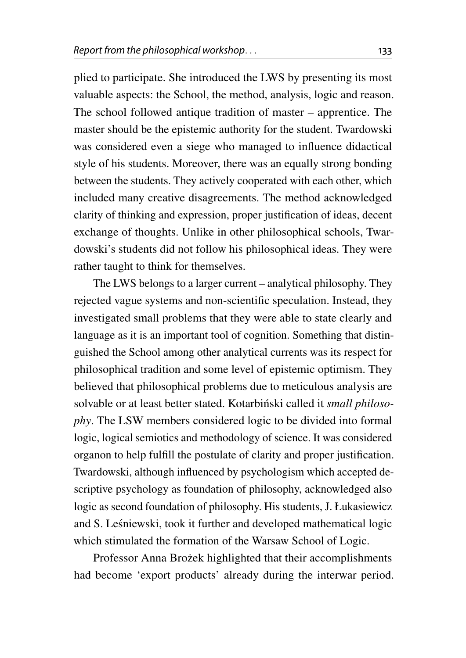plied to participate. She introduced the LWS by presenting its most valuable aspects: the School, the method, analysis, logic and reason. The school followed antique tradition of master – apprentice. The master should be the epistemic authority for the student. Twardowski was considered even a siege who managed to influence didactical style of his students. Moreover, there was an equally strong bonding between the students. They actively cooperated with each other, which included many creative disagreements. The method acknowledged clarity of thinking and expression, proper justification of ideas, decent exchange of thoughts. Unlike in other philosophical schools, Twardowski's students did not follow his philosophical ideas. They were rather taught to think for themselves.

The LWS belongs to a larger current – analytical philosophy. They rejected vague systems and non-scientific speculation. Instead, they investigated small problems that they were able to state clearly and language as it is an important tool of cognition. Something that distinguished the School among other analytical currents was its respect for philosophical tradition and some level of epistemic optimism. They believed that philosophical problems due to meticulous analysis are solvable or at least better stated. Kotarbiński called it small philoso*phy*. The LSW members considered logic to be divided into formal logic, logical semiotics and methodology of science. It was considered organon to help fulfill the postulate of clarity and proper justification. Twardowski, although influenced by psychologism which accepted descriptive psychology as foundation of philosophy, acknowledged also logic as second foundation of philosophy. His students, J. Łukasiewicz and S. Lesniewski, took it further and developed mathematical logic ´ which stimulated the formation of the Warsaw School of Logic.

Professor Anna Brożek highlighted that their accomplishments had become 'export products' already during the interwar period.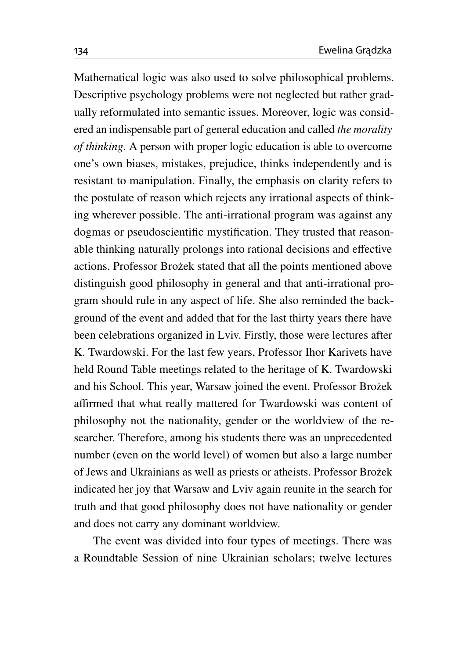Mathematical logic was also used to solve philosophical problems. Descriptive psychology problems were not neglected but rather gradually reformulated into semantic issues. Moreover, logic was considered an indispensable part of general education and called *the morality of thinking*. A person with proper logic education is able to overcome one's own biases, mistakes, prejudice, thinks independently and is resistant to manipulation. Finally, the emphasis on clarity refers to the postulate of reason which rejects any irrational aspects of thinking wherever possible. The anti-irrational program was against any dogmas or pseudoscientific mystification. They trusted that reasonable thinking naturally prolongs into rational decisions and effective actions. Professor Brożek stated that all the points mentioned above distinguish good philosophy in general and that anti-irrational program should rule in any aspect of life. She also reminded the background of the event and added that for the last thirty years there have been celebrations organized in Lviv. Firstly, those were lectures after K. Twardowski. For the last few years, Professor Ihor Karivets have held Round Table meetings related to the heritage of K. Twardowski and his School. This year, Warsaw joined the event. Professor Brożek affirmed that what really mattered for Twardowski was content of philosophy not the nationality, gender or the worldview of the researcher. Therefore, among his students there was an unprecedented number (even on the world level) of women but also a large number of Jews and Ukrainians as well as priests or atheists. Professor Brożek indicated her joy that Warsaw and Lviv again reunite in the search for truth and that good philosophy does not have nationality or gender and does not carry any dominant worldview.

The event was divided into four types of meetings. There was a Roundtable Session of nine Ukrainian scholars; twelve lectures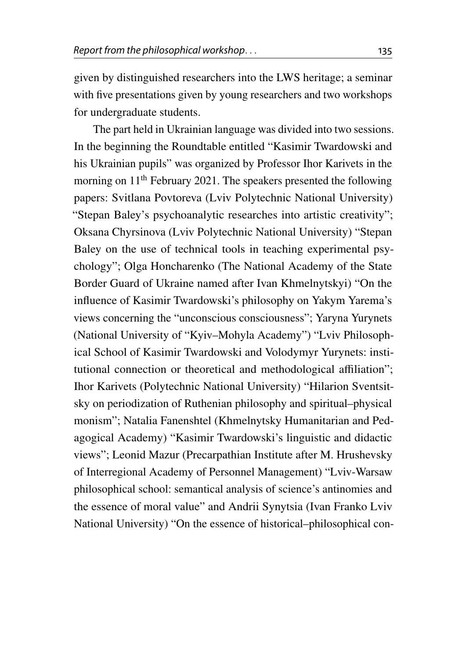given by distinguished researchers into the LWS heritage; a seminar with five presentations given by young researchers and two workshops for undergraduate students.

The part held in Ukrainian language was divided into two sessions. In the beginning the Roundtable entitled "Kasimir Twardowski and his Ukrainian pupils" was organized by Professor Ihor Karivets in the morning on 11th February 2021. The speakers presented the following papers: Svitlana Povtoreva (Lviv Polytechnic National University) "Stepan Baley's psychoanalytic researches into artistic creativity"; Oksana Chyrsinova (Lviv Polytechnic National University) "Stepan Baley on the use of technical tools in teaching experimental psychology"; Olga Honcharenko (The National Academy of the State Border Guard of Ukraine named after Ivan Khmelnytskyi) "On the influence of Kasimir Twardowski's philosophy on Yakym Yarema's views concerning the "unconscious consciousness"; Yaryna Yurynets (National University of "Kyiv–Mohyla Academy") "Lviv Philosophical School of Kasimir Twardowski and Volodymyr Yurynets: institutional connection or theoretical and methodological affiliation"; Ihor Karivets (Polytechnic National University) "Hilarion Sventsitsky on periodization of Ruthenian philosophy and spiritual–physical monism"; Natalia Fanenshtel (Khmelnytsky Humanitarian and Pedagogical Academy) "Kasimir Twardowski's linguistic and didactic views"; Leonid Mazur (Precarpathian Institute after M. Hrushevsky of Interregional Academy of Personnel Management) "Lviv-Warsaw philosophical school: semantical analysis of science's antinomies and the essence of moral value" and Andrii Synytsia (Ivan Franko Lviv National University) "On the essence of historical–philosophical con-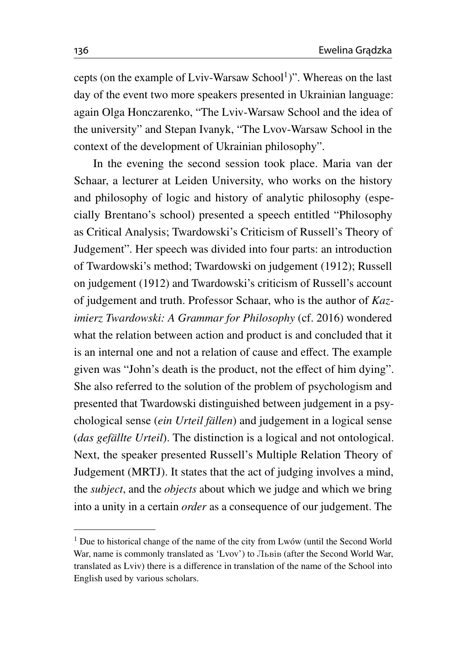cepts (on the example of Lviv-Warsaw School<sup>[1](#page-5-0)</sup>)". Whereas on the last day of the event two more speakers presented in Ukrainian language: again Olga Honczarenko, "The Lviv-Warsaw School and the idea of the university" and Stepan Ivanyk, "The Lvov-Warsaw School in the context of the development of Ukrainian philosophy".

In the evening the second session took place. Maria van der Schaar, a lecturer at Leiden University, who works on the history and philosophy of logic and history of analytic philosophy (especially Brentano's school) presented a speech entitled "Philosophy as Critical Analysis; Twardowski's Criticism of Russell's Theory of Judgement". Her speech was divided into four parts: an introduction of Twardowski's method; Twardowski on judgement (1912); Russell on judgement (1912) and Twardowski's criticism of Russell's account of judgement and truth. Professor Schaar, who is the author of *Kazimierz Twardowski: A Grammar for Philosophy* (cf. [2016\)](#page-20-0) wondered what the relation between action and product is and concluded that it is an internal one and not a relation of cause and effect. The example given was "John's death is the product, not the effect of him dying". She also referred to the solution of the problem of psychologism and presented that Twardowski distinguished between judgement in a psychological sense (*ein Urteil fällen*) and judgement in a logical sense (*das gefällte Urteil*). The distinction is a logical and not ontological. Next, the speaker presented Russell's Multiple Relation Theory of Judgement (MRTJ). It states that the act of judging involves a mind, the *subject*, and the *objects* about which we judge and which we bring into a unity in a certain *order* as a consequence of our judgement. The

<span id="page-5-0"></span><sup>&</sup>lt;sup>1</sup> Due to historical change of the name of the city from Lwów (until the Second World War, name is commonly translated as 'Lvov') to Львів (after the Second World War, translated as Lviv) there is a difference in translation of the name of the School into English used by various scholars.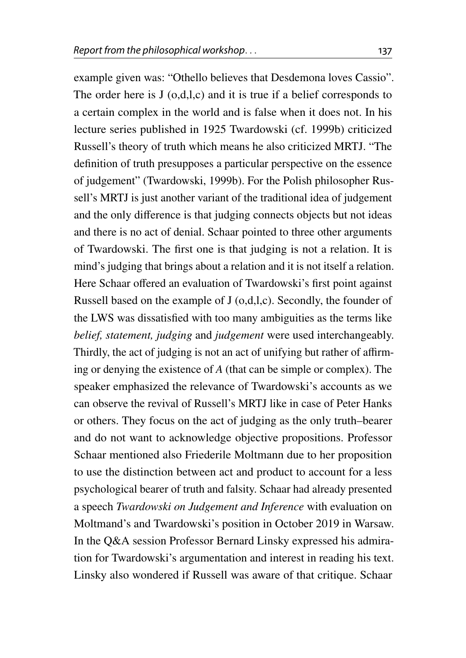example given was: "Othello believes that Desdemona loves Cassio". The order here is J (o,d,l,c) and it is true if a belief corresponds to a certain complex in the world and is false when it does not. In his lecture series published in 1925 Twardowski (cf. [1999b\)](#page-21-0) criticized Russell's theory of truth which means he also criticized MRTJ. "The definition of truth presupposes a particular perspective on the essence of judgement" (Twardowski, [1999b\)](#page-21-0). For the Polish philosopher Russell's MRTJ is just another variant of the traditional idea of judgement and the only difference is that judging connects objects but not ideas and there is no act of denial. Schaar pointed to three other arguments of Twardowski. The first one is that judging is not a relation. It is mind's judging that brings about a relation and it is not itself a relation. Here Schaar offered an evaluation of Twardowski's first point against Russell based on the example of J (o,d,l,c). Secondly, the founder of the LWS was dissatisfied with too many ambiguities as the terms like *belief, statement, judging* and *judgement* were used interchangeably. Thirdly, the act of judging is not an act of unifying but rather of affirming or denying the existence of *A* (that can be simple or complex). The speaker emphasized the relevance of Twardowski's accounts as we can observe the revival of Russell's MRTJ like in case of Peter Hanks or others. They focus on the act of judging as the only truth–bearer and do not want to acknowledge objective propositions. Professor Schaar mentioned also Friederile Moltmann due to her proposition to use the distinction between act and product to account for a less psychological bearer of truth and falsity. Schaar had already presented a speech *Twardowski on Judgement and Inference* with evaluation on Moltmand's and Twardowski's position in October 2019 in Warsaw. In the Q&A session Professor Bernard Linsky expressed his admiration for Twardowski's argumentation and interest in reading his text. Linsky also wondered if Russell was aware of that critique. Schaar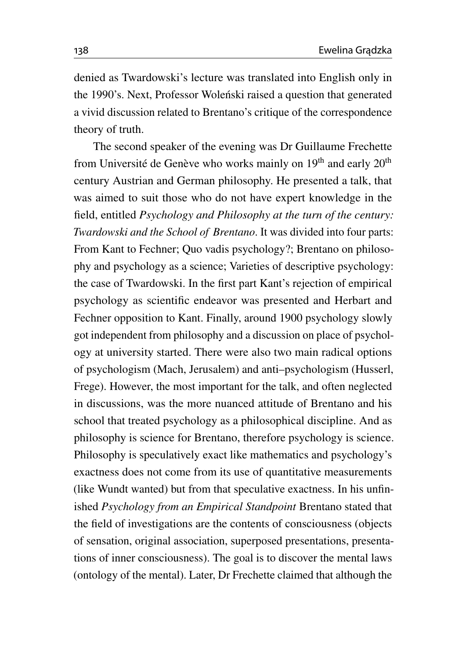denied as Twardowski's lecture was translated into English only in the 1990's. Next, Professor Wolenski raised a question that generated a vivid discussion related to Brentano's critique of the correspondence theory of truth.

The second speaker of the evening was Dr Guillaume Frechette from Université de Genève who works mainly on  $19<sup>th</sup>$  and early  $20<sup>th</sup>$ century Austrian and German philosophy. He presented a talk, that was aimed to suit those who do not have expert knowledge in the field, entitled *Psychology and Philosophy at the turn of the century: Twardowski and the School of Brentano*. It was divided into four parts: From Kant to Fechner; Quo vadis psychology?; Brentano on philosophy and psychology as a science; Varieties of descriptive psychology: the case of Twardowski. In the first part Kant's rejection of empirical psychology as scientific endeavor was presented and Herbart and Fechner opposition to Kant. Finally, around 1900 psychology slowly got independent from philosophy and a discussion on place of psychology at university started. There were also two main radical options of psychologism (Mach, Jerusalem) and anti–psychologism (Husserl, Frege). However, the most important for the talk, and often neglected in discussions, was the more nuanced attitude of Brentano and his school that treated psychology as a philosophical discipline. And as philosophy is science for Brentano, therefore psychology is science. Philosophy is speculatively exact like mathematics and psychology's exactness does not come from its use of quantitative measurements (like Wundt wanted) but from that speculative exactness. In his unfinished *Psychology from an Empirical Standpoint* Brentano stated that the field of investigations are the contents of consciousness (objects of sensation, original association, superposed presentations, presentations of inner consciousness). The goal is to discover the mental laws (ontology of the mental). Later, Dr Frechette claimed that although the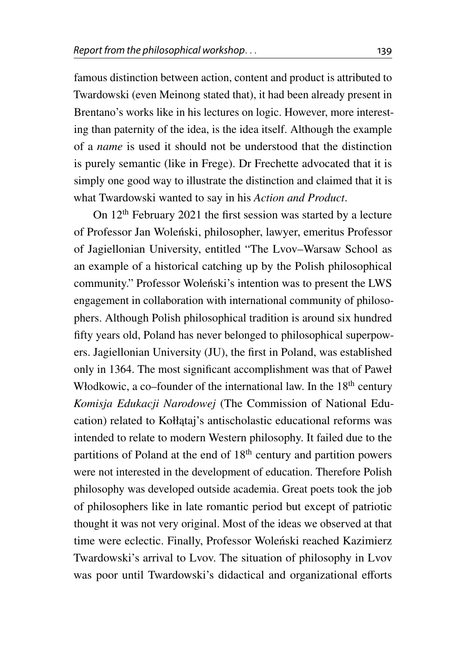famous distinction between action, content and product is attributed to Twardowski (even Meinong stated that), it had been already present in Brentano's works like in his lectures on logic. However, more interesting than paternity of the idea, is the idea itself. Although the example of a *name* is used it should not be understood that the distinction is purely semantic (like in Frege). Dr Frechette advocated that it is simply one good way to illustrate the distinction and claimed that it is what Twardowski wanted to say in his *Action and Product*.

On 12th February 2021 the first session was started by a lecture of Professor Jan Wolenski, philosopher, lawyer, emeritus Professor ´ of Jagiellonian University, entitled "The Lvov–Warsaw School as an example of a historical catching up by the Polish philosophical community." Professor Wolenski's intention was to present the LWS engagement in collaboration with international community of philosophers. Although Polish philosophical tradition is around six hundred fifty years old, Poland has never belonged to philosophical superpowers. Jagiellonian University (JU), the first in Poland, was established only in 1364. The most significant accomplishment was that of Paweł Włodkowic, a co–founder of the international law. In the  $18<sup>th</sup>$  century *Komisja Edukacji Narodowej* (The Commission of National Education) related to Kołłątaj's antischolastic educational reforms was intended to relate to modern Western philosophy. It failed due to the partitions of Poland at the end of  $18<sup>th</sup>$  century and partition powers were not interested in the development of education. Therefore Polish philosophy was developed outside academia. Great poets took the job of philosophers like in late romantic period but except of patriotic thought it was not very original. Most of the ideas we observed at that time were eclectic. Finally, Professor Woleński reached Kazimierz Twardowski's arrival to Lvov. The situation of philosophy in Lvov was poor until Twardowski's didactical and organizational efforts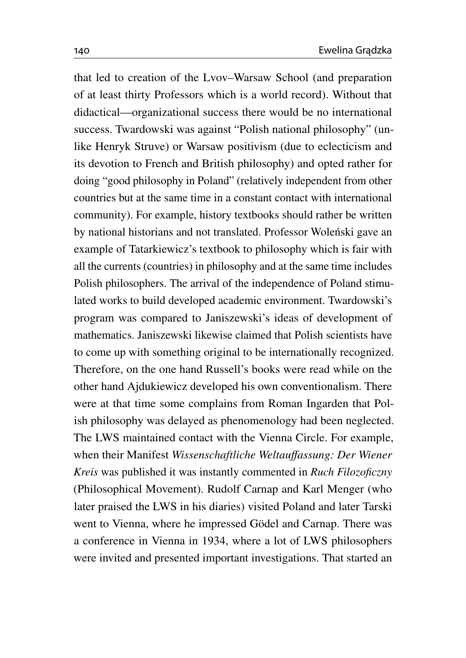that led to creation of the Lvov–Warsaw School (and preparation of at least thirty Professors which is a world record). Without that didactical—organizational success there would be no international success. Twardowski was against "Polish national philosophy" (unlike Henryk Struve) or Warsaw positivism (due to eclecticism and its devotion to French and British philosophy) and opted rather for doing "good philosophy in Poland" (relatively independent from other countries but at the same time in a constant contact with international community). For example, history textbooks should rather be written by national historians and not translated. Professor Wolenski gave an example of Tatarkiewicz's textbook to philosophy which is fair with all the currents (countries) in philosophy and at the same time includes Polish philosophers. The arrival of the independence of Poland stimulated works to build developed academic environment. Twardowski's program was compared to Janiszewski's ideas of development of mathematics. Janiszewski likewise claimed that Polish scientists have to come up with something original to be internationally recognized. Therefore, on the one hand Russell's books were read while on the other hand Ajdukiewicz developed his own conventionalism. There were at that time some complains from Roman Ingarden that Polish philosophy was delayed as phenomenology had been neglected. The LWS maintained contact with the Vienna Circle. For example, when their Manifest *Wissenschaftliche Weltau*ff*assung: Der Wiener Kreis* was published it was instantly commented in *Ruch Filozoficzny* (Philosophical Movement). Rudolf Carnap and Karl Menger (who later praised the LWS in his diaries) visited Poland and later Tarski went to Vienna, where he impressed Gödel and Carnap. There was a conference in Vienna in 1934, where a lot of LWS philosophers were invited and presented important investigations. That started an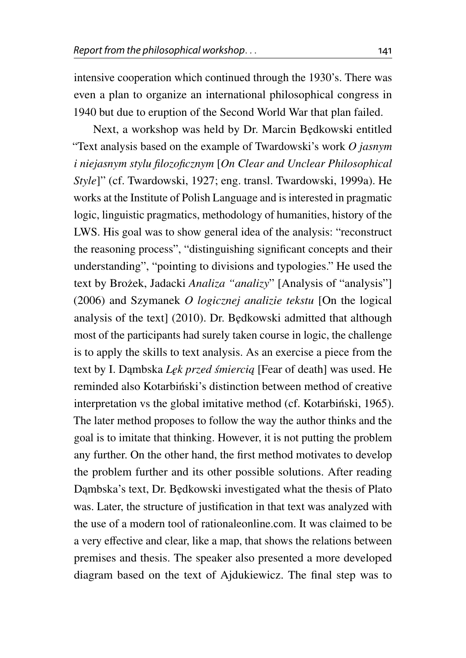intensive cooperation which continued through the 1930's. There was even a plan to organize an international philosophical congress in 1940 but due to eruption of the Second World War that plan failed.

Next, a workshop was held by Dr. Marcin B˛edkowski entitled "Text analysis based on the example of Twardowski's work *O jasnym i niejasnym stylu filozoficznym* [*On Clear and Unclear Philosophical Style*]" (cf. Twardowski, [1927;](#page-20-1) eng. transl. Twardowski, [1999a\)](#page-21-1). He works at the Institute of Polish Language and is interested in pragmatic logic, linguistic pragmatics, methodology of humanities, history of the LWS. His goal was to show general idea of the analysis: "reconstruct the reasoning process", "distinguishing significant concepts and their understanding", "pointing to divisions and typologies." He used the text by Brożek, Jadacki *Analiza "analizy*" [Analysis of "analysis"] [\(2006\)](#page-19-0) and Szymanek *O logicznej analizie tekstu* [On the logical analysis of the text] [\(2010\)](#page-20-2). Dr. Bedkowski admitted that although most of the participants had surely taken course in logic, the challenge is to apply the skills to text analysis. As an exercise a piece from the text by I. Dambska *Lęk przed śmiercią* [Fear of death] was used. He reminded also Kotarbinski's distinction between method of creative interpretation vs the global imitative method (cf. Kotarbinski, [1965\)](#page-20-3). The later method proposes to follow the way the author thinks and the goal is to imitate that thinking. However, it is not putting the problem any further. On the other hand, the first method motivates to develop the problem further and its other possible solutions. After reading Dambska's text, Dr. Będkowski investigated what the thesis of Plato was. Later, the structure of justification in that text was analyzed with the use of a modern tool of rationaleonline.com. It was claimed to be a very effective and clear, like a map, that shows the relations between premises and thesis. The speaker also presented a more developed diagram based on the text of Ajdukiewicz. The final step was to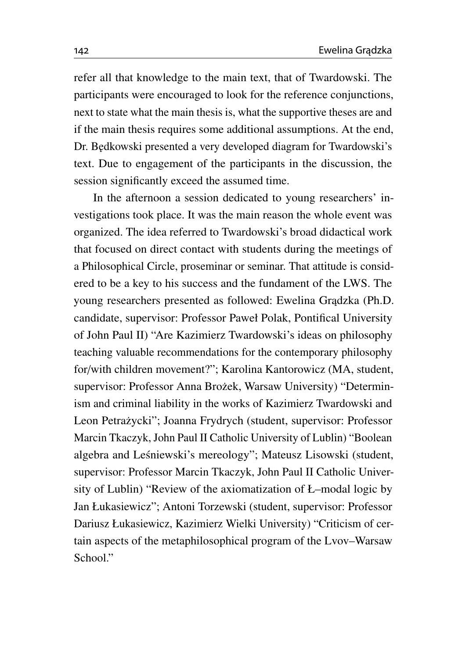refer all that knowledge to the main text, that of Twardowski. The participants were encouraged to look for the reference conjunctions, next to state what the main thesis is, what the supportive theses are and if the main thesis requires some additional assumptions. At the end, Dr. B˛edkowski presented a very developed diagram for Twardowski's text. Due to engagement of the participants in the discussion, the session significantly exceed the assumed time.

In the afternoon a session dedicated to young researchers' investigations took place. It was the main reason the whole event was organized. The idea referred to Twardowski's broad didactical work that focused on direct contact with students during the meetings of a Philosophical Circle, proseminar or seminar. That attitude is considered to be a key to his success and the fundament of the LWS. The young researchers presented as followed: Ewelina Grądzka (Ph.D. candidate, supervisor: Professor Paweł Polak, Pontifical University of John Paul II) "Are Kazimierz Twardowski's ideas on philosophy teaching valuable recommendations for the contemporary philosophy for/with children movement?"; Karolina Kantorowicz (MA, student, supervisor: Professor Anna Brożek, Warsaw University) "Determinism and criminal liability in the works of Kazimierz Twardowski and Leon Petrażycki"; Joanna Frydrych (student, supervisor: Professor Marcin Tkaczyk, John Paul II Catholic University of Lublin) "Boolean algebra and Leśniewski's mereology"; Mateusz Lisowski (student, supervisor: Professor Marcin Tkaczyk, John Paul II Catholic University of Lublin) "Review of the axiomatization of Ł–modal logic by Jan Łukasiewicz"; Antoni Torzewski (student, supervisor: Professor Dariusz Łukasiewicz, Kazimierz Wielki University) "Criticism of certain aspects of the metaphilosophical program of the Lvov–Warsaw School."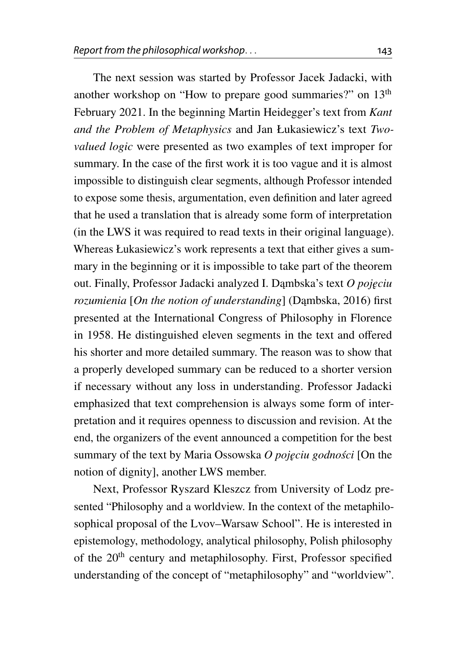The next session was started by Professor Jacek Jadacki, with another workshop on "How to prepare good summaries?" on 13th February 2021. In the beginning Martin Heidegger's text from *Kant and the Problem of Metaphysics* and Jan Łukasiewicz's text *Twovalued logic* were presented as two examples of text improper for summary. In the case of the first work it is too vague and it is almost impossible to distinguish clear segments, although Professor intended to expose some thesis, argumentation, even definition and later agreed that he used a translation that is already some form of interpretation (in the LWS it was required to read texts in their original language). Whereas Łukasiewicz's work represents a text that either gives a summary in the beginning or it is impossible to take part of the theorem out. Finally, Professor Jadacki analyzed I. Dambska's text *O pojęciu rozumienia* [On the notion of understanding] (Dambska, [2016\)](#page-20-4) first presented at the International Congress of Philosophy in Florence in 1958. He distinguished eleven segments in the text and offered his shorter and more detailed summary. The reason was to show that a properly developed summary can be reduced to a shorter version if necessary without any loss in understanding. Professor Jadacki emphasized that text comprehension is always some form of interpretation and it requires openness to discussion and revision. At the end, the organizers of the event announced a competition for the best summary of the text by Maria Ossowska *O pojeciu godności [On the* notion of dignity], another LWS member.

Next, Professor Ryszard Kleszcz from University of Lodz presented "Philosophy and a worldview. In the context of the metaphilosophical proposal of the Lvov–Warsaw School". He is interested in epistemology, methodology, analytical philosophy, Polish philosophy of the 20<sup>th</sup> century and metaphilosophy. First, Professor specified understanding of the concept of "metaphilosophy" and "worldview".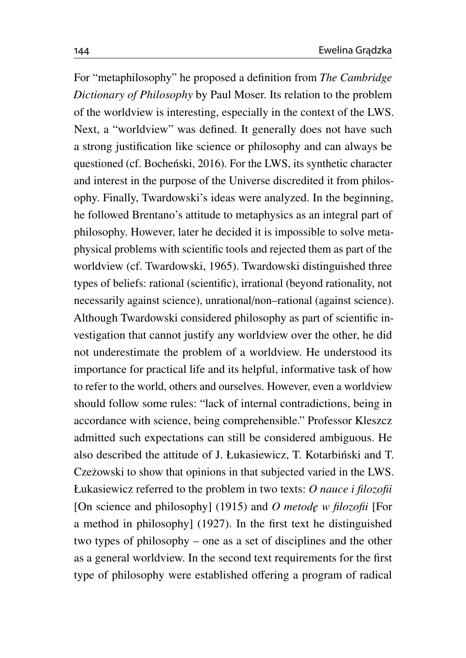For "metaphilosophy" he proposed a definition from *The Cambridge Dictionary of Philosophy* by Paul Moser. Its relation to the problem of the worldview is interesting, especially in the context of the LWS. Next, a "worldview" was defined. It generally does not have such a strong justification like science or philosophy and can always be questioned (cf. Bocheński, [2016\)](#page-19-1). For the LWS, its synthetic character and interest in the purpose of the Universe discredited it from philosophy. Finally, Twardowski's ideas were analyzed. In the beginning, he followed Brentano's attitude to metaphysics as an integral part of philosophy. However, later he decided it is impossible to solve metaphysical problems with scientific tools and rejected them as part of the worldview (cf. Twardowski, [1965\)](#page-21-2). Twardowski distinguished three types of beliefs: rational (scientific), irrational (beyond rationality, not necessarily against science), unrational/non–rational (against science). Although Twardowski considered philosophy as part of scientific investigation that cannot justify any worldview over the other, he did not underestimate the problem of a worldview. He understood its importance for practical life and its helpful, informative task of how to refer to the world, others and ourselves. However, even a worldview should follow some rules: "lack of internal contradictions, being in accordance with science, being comprehensible." Professor Kleszcz admitted such expectations can still be considered ambiguous. He also described the attitude of J. Łukasiewicz, T. Kotarbiński and T. Czeżowski to show that opinions in that subjected varied in the LWS. Łukasiewicz referred to the problem in two texts: *O nauce i filozofii* [On science and philosophy] [\(1915\)](#page-20-5) and *O metode w filozofii* [For a method in philosophy] [\(1927\)](#page-20-6). In the first text he distinguished two types of philosophy – one as a set of disciplines and the other as a general worldview. In the second text requirements for the first type of philosophy were established offering a program of radical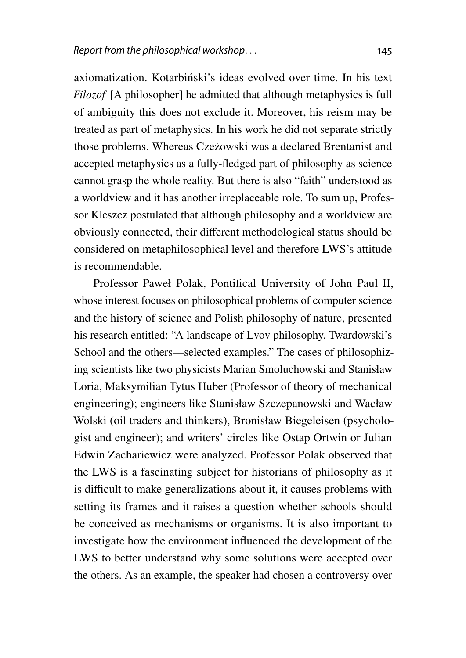axiomatization. Kotarbiński's ideas evolved over time. In his text *Filozof* [A philosopher] he admitted that although metaphysics is full of ambiguity this does not exclude it. Moreover, his reism may be treated as part of metaphysics. In his work he did not separate strictly those problems. Whereas Czeżowski was a declared Brentanist and accepted metaphysics as a fully-fledged part of philosophy as science cannot grasp the whole reality. But there is also "faith" understood as a worldview and it has another irreplaceable role. To sum up, Professor Kleszcz postulated that although philosophy and a worldview are obviously connected, their different methodological status should be considered on metaphilosophical level and therefore LWS's attitude is recommendable.

Professor Paweł Polak, Pontifical University of John Paul II, whose interest focuses on philosophical problems of computer science and the history of science and Polish philosophy of nature, presented his research entitled: "A landscape of Lvov philosophy. Twardowski's School and the others—selected examples." The cases of philosophizing scientists like two physicists Marian Smoluchowski and Stanisław Loria, Maksymilian Tytus Huber (Professor of theory of mechanical engineering); engineers like Stanisław Szczepanowski and Wacław Wolski (oil traders and thinkers), Bronisław Biegeleisen (psychologist and engineer); and writers' circles like Ostap Ortwin or Julian Edwin Zachariewicz were analyzed. Professor Polak observed that the LWS is a fascinating subject for historians of philosophy as it is difficult to make generalizations about it, it causes problems with setting its frames and it raises a question whether schools should be conceived as mechanisms or organisms. It is also important to investigate how the environment influenced the development of the LWS to better understand why some solutions were accepted over the others. As an example, the speaker had chosen a controversy over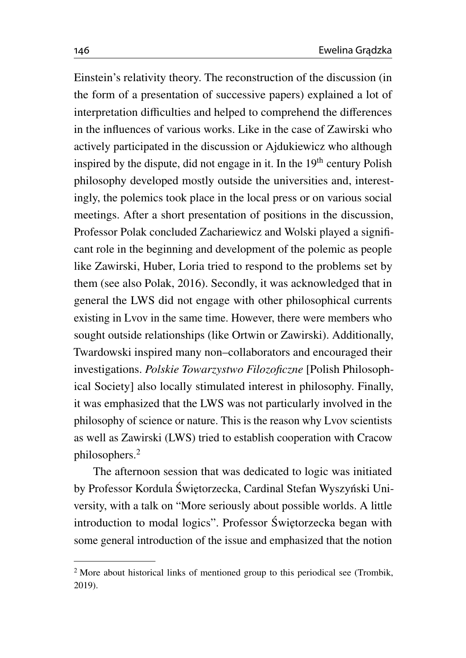Einstein's relativity theory. The reconstruction of the discussion (in the form of a presentation of successive papers) explained a lot of interpretation difficulties and helped to comprehend the differences in the influences of various works. Like in the case of Zawirski who actively participated in the discussion or Ajdukiewicz who although inspired by the dispute, did not engage in it. In the  $19<sup>th</sup>$  century Polish philosophy developed mostly outside the universities and, interestingly, the polemics took place in the local press or on various social meetings. After a short presentation of positions in the discussion, Professor Polak concluded Zachariewicz and Wolski played a significant role in the beginning and development of the polemic as people like Zawirski, Huber, Loria tried to respond to the problems set by them (see also Polak, [2016\)](#page-20-7). Secondly, it was acknowledged that in general the LWS did not engage with other philosophical currents existing in Lvov in the same time. However, there were members who sought outside relationships (like Ortwin or Zawirski). Additionally, Twardowski inspired many non–collaborators and encouraged their investigations. *Polskie Towarzystwo Filozoficzne* [Polish Philosophical Society] also locally stimulated interest in philosophy. Finally, it was emphasized that the LWS was not particularly involved in the philosophy of science or nature. This is the reason why Lvov scientists as well as Zawirski (LWS) tried to establish cooperation with Cracow philosophers.[2](#page-15-0)

The afternoon session that was dedicated to logic was initiated by Professor Kordula Świętorzecka, Cardinal Stefan Wyszyński University, with a talk on "More seriously about possible worlds. A little introduction to modal logics". Professor Świętorzecka began with some general introduction of the issue and emphasized that the notion

<span id="page-15-0"></span><sup>&</sup>lt;sup>2</sup> More about historical links of mentioned group to this periodical see (Trombik, [2019\)](#page-20-8).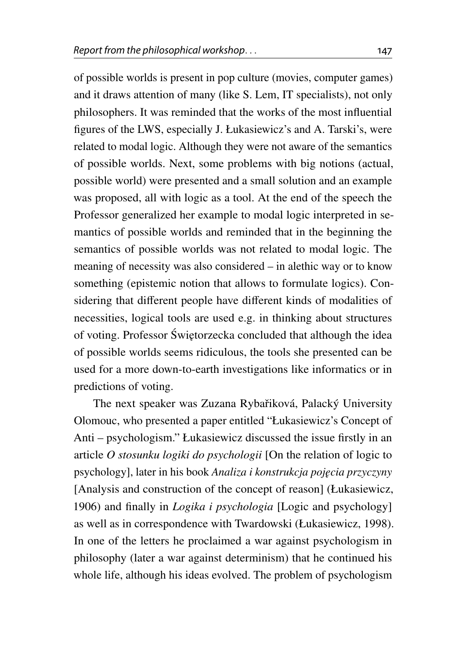of possible worlds is present in pop culture (movies, computer games) and it draws attention of many (like S. Lem, IT specialists), not only philosophers. It was reminded that the works of the most influential figures of the LWS, especially J. Łukasiewicz's and A. Tarski's, were related to modal logic. Although they were not aware of the semantics of possible worlds. Next, some problems with big notions (actual, possible world) were presented and a small solution and an example was proposed, all with logic as a tool. At the end of the speech the Professor generalized her example to modal logic interpreted in semantics of possible worlds and reminded that in the beginning the semantics of possible worlds was not related to modal logic. The meaning of necessity was also considered – in alethic way or to know something (epistemic notion that allows to formulate logics). Considering that different people have different kinds of modalities of necessities, logical tools are used e.g. in thinking about structures of voting. Professor Świętorzecka concluded that although the idea of possible worlds seems ridiculous, the tools she presented can be used for a more down-to-earth investigations like informatics or in predictions of voting.

The next speaker was Zuzana Rybařiková, Palacký University Olomouc, who presented a paper entitled "Łukasiewicz's Concept of Anti – psychologism." Łukasiewicz discussed the issue firstly in an article *O stosunku logiki do psychologii* [On the relation of logic to psychology], later in his book *Analiza i konstrukcja poj˛ecia przyczyny* [Analysis and construction of the concept of reason] (Łukasiewicz, [1906\)](#page-20-9) and finally in *Logika i psychologia* [Logic and psychology] as well as in correspondence with Twardowski (Łukasiewicz, [1998\)](#page-20-10). In one of the letters he proclaimed a war against psychologism in philosophy (later a war against determinism) that he continued his whole life, although his ideas evolved. The problem of psychologism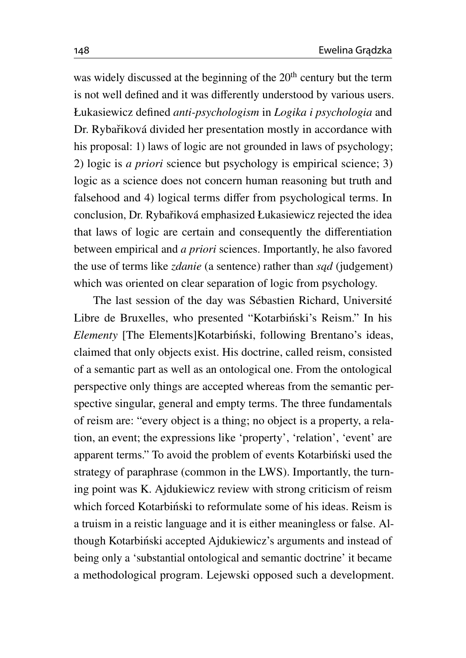was widely discussed at the beginning of the  $20<sup>th</sup>$  century but the term is not well defined and it was differently understood by various users. Łukasiewicz defined *anti-psychologism* in *Logika i psychologia* and Dr. Rybařiková divided her presentation mostly in accordance with his proposal: 1) laws of logic are not grounded in laws of psychology; 2) logic is *a priori* science but psychology is empirical science; 3) logic as a science does not concern human reasoning but truth and falsehood and 4) logical terms differ from psychological terms. In conclusion, Dr. Rybařiková emphasized Łukasiewicz rejected the idea that laws of logic are certain and consequently the differentiation between empirical and *a priori* sciences. Importantly, he also favored the use of terms like *zdanie* (a sentence) rather than *sqd* (judgement) which was oriented on clear separation of logic from psychology.

The last session of the day was Sébastien Richard, Université Libre de Bruxelles, who presented "Kotarbiński's Reism." In his *Elementy* [The Elements]Kotarbiński, following Brentano's ideas, claimed that only objects exist. His doctrine, called reism, consisted of a semantic part as well as an ontological one. From the ontological perspective only things are accepted whereas from the semantic perspective singular, general and empty terms. The three fundamentals of reism are: "every object is a thing; no object is a property, a relation, an event; the expressions like 'property', 'relation', 'event' are apparent terms." To avoid the problem of events Kotarbinski used the strategy of paraphrase (common in the LWS). Importantly, the turning point was K. Ajdukiewicz review with strong criticism of reism which forced Kotarbiński to reformulate some of his ideas. Reism is a truism in a reistic language and it is either meaningless or false. Although Kotarbiński accepted Ajdukiewicz's arguments and instead of being only a 'substantial ontological and semantic doctrine' it became a methodological program. Lejewski opposed such a development.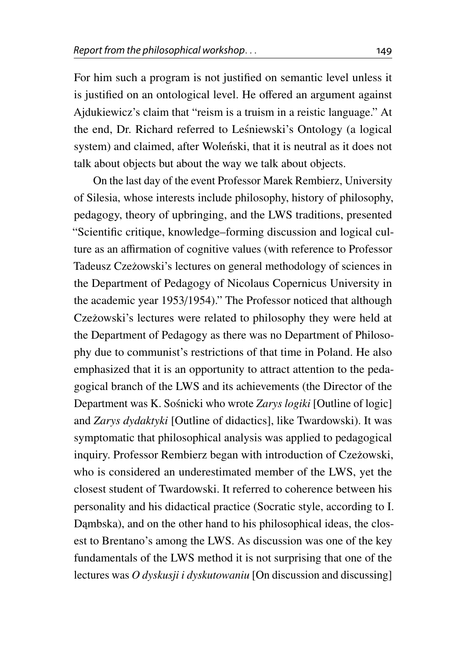For him such a program is not justified on semantic level unless it is justified on an ontological level. He offered an argument against Ajdukiewicz's claim that "reism is a truism in a reistic language." At the end, Dr. Richard referred to Lesniewski's Ontology (a logical ´ system) and claimed, after Wolenski, that it is neutral as it does not talk about objects but about the way we talk about objects.

On the last day of the event Professor Marek Rembierz, University of Silesia, whose interests include philosophy, history of philosophy, pedagogy, theory of upbringing, and the LWS traditions, presented "Scientific critique, knowledge–forming discussion and logical culture as an affirmation of cognitive values (with reference to Professor Tadeusz Czeżowski's lectures on general methodology of sciences in the Department of Pedagogy of Nicolaus Copernicus University in the academic year 1953/1954)." The Professor noticed that although Czeżowski's lectures were related to philosophy they were held at the Department of Pedagogy as there was no Department of Philosophy due to communist's restrictions of that time in Poland. He also emphasized that it is an opportunity to attract attention to the pedagogical branch of the LWS and its achievements (the Director of the Department was K. Sośnicki who wrote *Zarys logiki* [Outline of logic] and *Zarys dydaktyki* [Outline of didactics], like Twardowski). It was symptomatic that philosophical analysis was applied to pedagogical inquiry. Professor Rembierz began with introduction of Czeżowski, who is considered an underestimated member of the LWS, yet the closest student of Twardowski. It referred to coherence between his personality and his didactical practice (Socratic style, according to I. Dambska), and on the other hand to his philosophical ideas, the closest to Brentano's among the LWS. As discussion was one of the key fundamentals of the LWS method it is not surprising that one of the lectures was *O dyskusji i dyskutowaniu* [On discussion and discussing]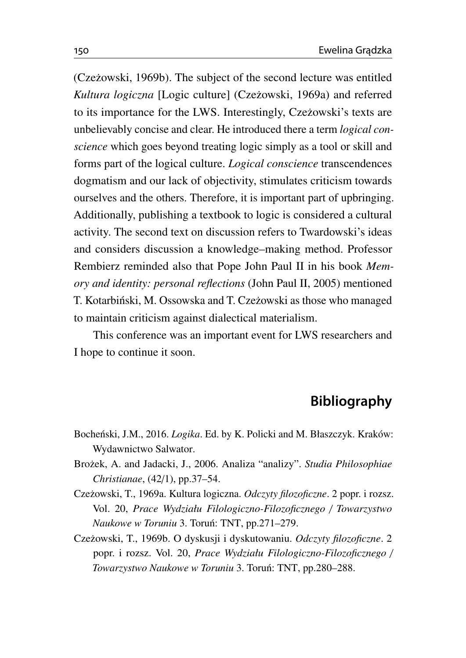(Cze˙zowski, [1969b\)](#page-19-2). The subject of the second lecture was entitled *Kultura logiczna* [Logic culture] (Czeżowski, [1969a\)](#page-19-3) and referred to its importance for the LWS. Interestingly, Czeżowski's texts are unbelievably concise and clear. He introduced there a term *logical conscience* which goes beyond treating logic simply as a tool or skill and forms part of the logical culture. *Logical conscience* transcendences dogmatism and our lack of objectivity, stimulates criticism towards ourselves and the others. Therefore, it is important part of upbringing. Additionally, publishing a textbook to logic is considered a cultural activity. The second text on discussion refers to Twardowski's ideas and considers discussion a knowledge–making method. Professor Rembierz reminded also that Pope John Paul II in his book *Memory and identity: personal reflections* (John Paul II, [2005\)](#page-20-11) mentioned T. Kotarbiński, M. Ossowska and T. Czeżowski as those who managed to maintain criticism against dialectical materialism.

This conference was an important event for LWS researchers and I hope to continue it soon.

## **Bibliography**

- <span id="page-19-1"></span>Bocheński, J.M., 2016. *Logika*. Ed. by K. Policki and M. Błaszczyk. Kraków: Wydawnictwo Salwator.
- <span id="page-19-0"></span>Bro˙zek, A. and Jadacki, J., 2006. Analiza "analizy". *Studia Philosophiae Christianae*, (42/1), pp.37–54.
- <span id="page-19-3"></span>Cze˙zowski, T., 1969a. Kultura logiczna. *Odczyty filozoficzne*. 2 popr. i rozsz. Vol. 20, *Prace Wydziału Filologiczno-Filozoficznego* / *Towarzystwo Naukowe w Toruniu* 3. Torun: TNT, pp.271–279. ´
- <span id="page-19-2"></span>Cze˙zowski, T., 1969b. O dyskusji i dyskutowaniu. *Odczyty filozoficzne*. 2 popr. i rozsz. Vol. 20, *Prace Wydziału Filologiczno-Filozoficznego* / *Towarzystwo Naukowe w Toruniu* 3. Torun: TNT, pp.280–288. ´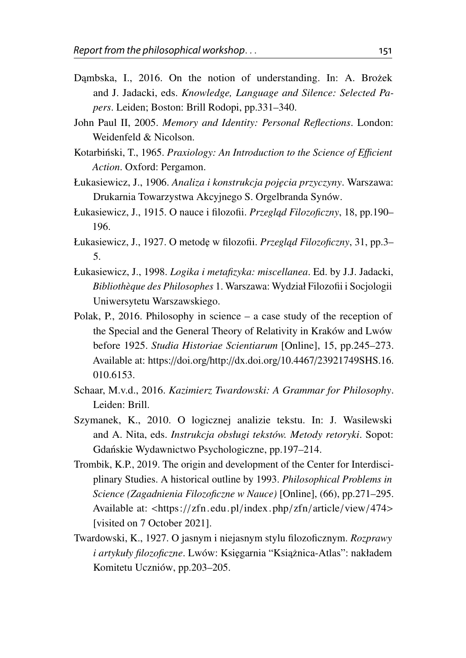- <span id="page-20-4"></span>Dambska, I., 2016. On the notion of understanding. In: A. Brożek and J. Jadacki, eds. *Knowledge, Language and Silence: Selected Papers*. Leiden; Boston: Brill Rodopi, pp.331–340.
- <span id="page-20-11"></span>John Paul II, 2005. *Memory and Identity: Personal Reflections*. London: Weidenfeld & Nicolson.
- <span id="page-20-3"></span>Kotarbiński, T., 1965. Praxiology: An Introduction to the Science of Efficient *Action*. Oxford: Pergamon.
- <span id="page-20-9"></span>Łukasiewicz, J., 1906. *Analiza i konstrukcja poj˛ecia przyczyny*. Warszawa: Drukarnia Towarzystwa Akcyjnego S. Orgelbranda Synów.
- <span id="page-20-5"></span>Łukasiewicz, J., 1915. O nauce i filozofii. *Przegląd Filozoficzny*, 18, pp.190– 196.
- <span id="page-20-6"></span>Łukasiewicz, J., 1927. O metodę w filozofii. *Przegląd Filozoficzny*, 31, pp.3– 5.
- <span id="page-20-10"></span>Łukasiewicz, J., 1998. *Logika i metafizyka: miscellanea*. Ed. by J.J. Jadacki, *Bibliothèque des Philosophes* 1. Warszawa: Wydział Filozofii i Socjologii Uniwersytetu Warszawskiego.
- <span id="page-20-7"></span>Polak, P., 2016. Philosophy in science – a case study of the reception of the Special and the General Theory of Relativity in Kraków and Lwów before 1925. *Studia Historiae Scientiarum* [Online], 15, pp.245–273. Available at: https://doi.org/http://dx.doi.org/10.4467/[23921749SHS.16.](https://doi.org/http://dx.doi.org/10.4467/23921749SHS.16.010.6153) [010.6153.](https://doi.org/http://dx.doi.org/10.4467/23921749SHS.16.010.6153)
- <span id="page-20-0"></span>Schaar, M.v.d., 2016. *Kazimierz Twardowski: A Grammar for Philosophy*. Leiden: Brill.
- <span id="page-20-2"></span>Szymanek, K., 2010. O logicznej analizie tekstu. In: J. Wasilewski and A. Nita, eds. *Instrukcja obsługi tekstów. Metody retoryki*. Sopot: Gdanskie Wydawnictwo Psychologiczne, pp.197–214. ´
- <span id="page-20-8"></span>Trombik, K.P., 2019. The origin and development of the Center for Interdisciplinary Studies. A historical outline by 1993. *Philosophical Problems in Science (Zagadnienia Filozoficzne w Nauce)* [Online], (66), pp.271–295. Available at: <https://[zfn.edu.pl](https://zfn.edu.pl/index.php/zfn/article/view/474)/index.php/zfn/article/view/474> [visited on 7 October 2021].
- <span id="page-20-1"></span>Twardowski, K., 1927. O jasnym i niejasnym stylu filozoficznym. *Rozprawy i artykuły filozoficzne*. Lwów: Księgarnia "Książnica-Atlas": nakładem Komitetu Uczniów, pp.203–205.